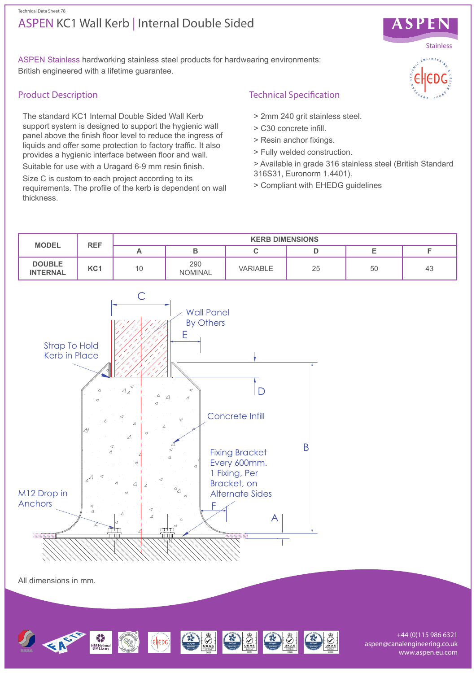## ASPEN KC1 Wall Kerb | Internal Double Sided Technical Data Sheet 78



ASPEN Stainless hardworking stainless steel products for hardwearing environments: British engineered with a lifetime guarantee.

### Product Description

The standard KC1 Internal Double Sided Wall Kerb support system is designed to support the hygienic wall panel above the finish floor level to reduce the ingress of liquids and offer some protection to factory traffic. It also provides a hygienic interface between floor and wall.

Suitable for use with a Uragard 6-9 mm resin finish.

Size C is custom to each project according to its requirements. The profile of the kerb is dependent on wall thickness.

# Technical Specification

- > 2mm 240 grit stainless steel.
- > C30 concrete infill.
- > Resin anchor fixings.
- > Fully welded construction.
- > Available in grade 316 stainless steel (British Standard 316S31, Euronorm 1.4401).
- > Compliant with EHEDG guidelines





+44 (0)115 986 6321 aspen@canalengineering.co.uk www.aspen.eu.com